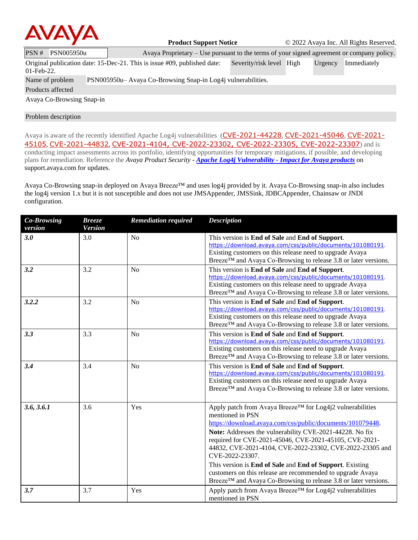

**Product Support Notice** © 2022 Avaya Inc. All Rights Reserved.

| PSN#                                                                                                                                            | PSN005950u        |  | Avaya Proprietary $-$ Use pursuant to the terms of your signed agreement or company policy. |  |  |  |  |  |  |
|-------------------------------------------------------------------------------------------------------------------------------------------------|-------------------|--|---------------------------------------------------------------------------------------------|--|--|--|--|--|--|
| Original publication date: 15-Dec-21. This is issue #09, published date:<br>Severity/risk level High<br>Urgency<br>Immediately<br>$01$ -Feb-22. |                   |  |                                                                                             |  |  |  |  |  |  |
| PSN005950u– Avaya Co-Browsing Snap-in Log4 vulnerabilities.<br>Name of problem                                                                  |                   |  |                                                                                             |  |  |  |  |  |  |
|                                                                                                                                                 | Products affected |  |                                                                                             |  |  |  |  |  |  |
| Avaya Co-Browsing Snap-in                                                                                                                       |                   |  |                                                                                             |  |  |  |  |  |  |

# Problem description

Avaya is aware of the recently identified Apache Log4j vulnerabilities ([CVE-2021-44228](https://cve.mitre.org/cgi-bin/cvename.cgi?name=CVE-2021-44228), [CVE-2021-45046](https://cve.mitre.org/cgi-bin/cvename.cgi?name=CVE-2021-45046), [CVE-2021-](https://cve.mitre.org/cgi-bin/cvename.cgi?name=CVE-2021-45105) [45105](https://cve.mitre.org/cgi-bin/cvename.cgi?name=CVE-2021-45105), [CVE-2021-44832](https://cve.mitre.org/cgi-bin/cvename.cgi?name=CVE-2021-44832), [CVE-2021-4104](https://cve.mitre.org/cgi-bin/cvename.cgi?name=CVE-2021-4104), [CVE-2022-23302](https://www.cvedetails.com/cve/CVE-2022-23302/), [CVE-2022-23305](https://www.cvedetails.com/cve/CVE-2022-23305/), [CVE-2022-23307](https://www.cvedetails.com/cve/CVE-2022-23307/)) and is conducting impact assessments across its portfolio, identifying opportunities for temporary mitigations, if possible, and developing plans for remediation. Reference the *Avaya Product Security - Apache Log4j Vulnerability - [Impact for Avaya products](http://www.avaya.com/emergencyupdate)* on support.avaya.com for updates.

Avaya Co-Browsing snap-in deployed on Avaya Breeze™ and uses log4j provided by it. Avaya Co-Browsing snap-in also includes the log4j version 1.x but it is not susceptible and does not use JMSAppender, JMSSink, JDBCAppender, Chainsaw or JNDI configuration.

| <b>Co-Browsing</b><br>version | <b>Breeze</b><br><b>Version</b> | <b>Remediation required</b> | <b>Description</b>                                                                                                                                                                                                                                                                                                                                                                                           |
|-------------------------------|---------------------------------|-----------------------------|--------------------------------------------------------------------------------------------------------------------------------------------------------------------------------------------------------------------------------------------------------------------------------------------------------------------------------------------------------------------------------------------------------------|
| 3.0                           | 3.0                             | No                          | This version is End of Sale and End of Support.<br>https://download.avaya.com/css/public/documents/101080191.<br>Existing customers on this release need to upgrade Avaya<br>Breeze <sup>TM</sup> and Avaya Co-Browsing to release 3.8 or later versions.                                                                                                                                                    |
| 3.2                           | 3.2                             | No                          | This version is End of Sale and End of Support.<br>https://download.avaya.com/css/public/documents/101080191.<br>Existing customers on this release need to upgrade Avaya<br>Breeze™ and Avaya Co-Browsing to release 3.8 or later versions.                                                                                                                                                                 |
| 3.2.2                         | 3.2                             | N <sub>o</sub>              | This version is End of Sale and End of Support.<br>https://download.avaya.com/css/public/documents/101080191.<br>Existing customers on this release need to upgrade Avaya<br>Breeze™ and Avaya Co-Browsing to release 3.8 or later versions.                                                                                                                                                                 |
| 3.3                           | 3.3                             | N <sub>o</sub>              | This version is <b>End of Sale</b> and <b>End of Support</b> .<br>https://download.avaya.com/css/public/documents/101080191.<br>Existing customers on this release need to upgrade Avaya<br>Breeze <sup>TM</sup> and Avaya Co-Browsing to release 3.8 or later versions.                                                                                                                                     |
| 3.4                           | 3.4                             | N <sub>o</sub>              | This version is End of Sale and End of Support.<br>https://download.avaya.com/css/public/documents/101080191.<br>Existing customers on this release need to upgrade Avaya<br>Breeze™ and Avaya Co-Browsing to release 3.8 or later versions.                                                                                                                                                                 |
| 3.6, 3.6.1                    | 3.6                             | Yes                         | Apply patch from Avaya Breeze™ for Log4j2 vulnerabilities<br>mentioned in PSN<br>https://download.avaya.com/css/public/documents/101079448.<br>Note: Addresses the vulnerability CVE-2021-44228. No fix<br>required for CVE-2021-45046, CVE-2021-45105, CVE-2021-<br>44832, CVE-2021-4104, CVE-2022-23302, CVE-2022-23305 and<br>CVE-2022-23307.<br>This version is End of Sale and End of Support. Existing |
|                               |                                 |                             | customers on this release are recommended to upgrade Avaya<br>Breeze <sup>TM</sup> and Avaya Co-Browsing to release 3.8 or later versions.                                                                                                                                                                                                                                                                   |
| 3.7                           | 3.7                             | Yes                         | Apply patch from Avaya Breeze™ for Log4j2 vulnerabilities<br>mentioned in PSN                                                                                                                                                                                                                                                                                                                                |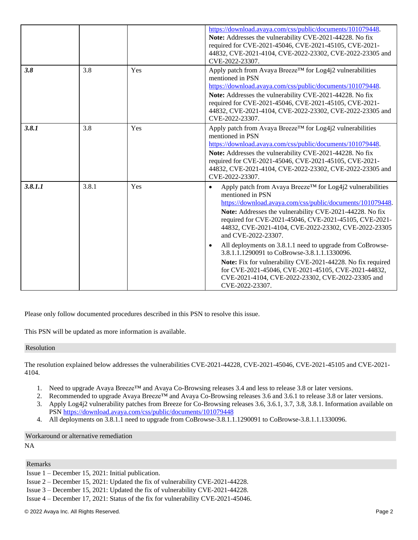|         |       |     | https://download.avaya.com/css/public/documents/101079448.<br>Note: Addresses the vulnerability CVE-2021-44228. No fix<br>required for CVE-2021-45046, CVE-2021-45105, CVE-2021-<br>44832, CVE-2021-4104, CVE-2022-23302, CVE-2022-23305 and<br>CVE-2022-23307.                                                                                                                                                                                                                                                                                                                                                                                                          |
|---------|-------|-----|--------------------------------------------------------------------------------------------------------------------------------------------------------------------------------------------------------------------------------------------------------------------------------------------------------------------------------------------------------------------------------------------------------------------------------------------------------------------------------------------------------------------------------------------------------------------------------------------------------------------------------------------------------------------------|
| 3.8     | 3.8   | Yes | Apply patch from Avaya Breeze™ for Log4j2 vulnerabilities<br>mentioned in PSN<br>https://download.avaya.com/css/public/documents/101079448.<br>Note: Addresses the vulnerability CVE-2021-44228. No fix<br>required for CVE-2021-45046, CVE-2021-45105, CVE-2021-<br>44832, CVE-2021-4104, CVE-2022-23302, CVE-2022-23305 and<br>CVE-2022-23307.                                                                                                                                                                                                                                                                                                                         |
| 3.8.1   | 3.8   | Yes | Apply patch from Avaya Breeze™ for Log4j2 vulnerabilities<br>mentioned in PSN<br>https://download.avaya.com/css/public/documents/101079448.<br>Note: Addresses the vulnerability CVE-2021-44228. No fix<br>required for CVE-2021-45046, CVE-2021-45105, CVE-2021-<br>44832, CVE-2021-4104, CVE-2022-23302, CVE-2022-23305 and<br>CVE-2022-23307.                                                                                                                                                                                                                                                                                                                         |
| 3.8.1.1 | 3.8.1 | Yes | Apply patch from Avaya Breeze™ for Log4j2 vulnerabilities<br>$\bullet$<br>mentioned in PSN<br>https://download.avaya.com/css/public/documents/101079448.<br>Note: Addresses the vulnerability CVE-2021-44228. No fix<br>required for CVE-2021-45046, CVE-2021-45105, CVE-2021-<br>44832, CVE-2021-4104, CVE-2022-23302, CVE-2022-23305<br>and CVE-2022-23307.<br>All deployments on 3.8.1.1 need to upgrade from CoBrowse-<br>3.8.1.1.1290091 to CoBrowse-3.8.1.1.1330096.<br>Note: Fix for vulnerability CVE-2021-44228. No fix required<br>for CVE-2021-45046, CVE-2021-45105, CVE-2021-44832,<br>CVE-2021-4104, CVE-2022-23302, CVE-2022-23305 and<br>CVE-2022-23307. |

Please only follow documented procedures described in this PSN to resolve this issue.

This PSN will be updated as more information is available.

#### Resolution

The resolution explained below addresses the vulnerabilities [CVE-2021-44228,](https://cve.mitre.org/cgi-bin/cvename.cgi?name=CVE-2021-44228) CVE-2021-45046, CVE-2021-45105 and CVE-2021- 4104.

- 1. Need to upgrade Avaya Breeze™ and Avaya Co-Browsing releases 3.4 and less to release 3.8 or later versions.
- 2. Recommended to upgrade Avaya Breeze™ and Avaya Co-Browsing releases 3.6 and 3.6.1 to release 3.8 or later versions.
- 3. Apply Log4j2 vulnerability patches from Breeze for Co-Browsing releases 3.6, 3.6.1, 3.7, 3.8, 3.8.1. Information available on PSN<https://download.avaya.com/css/public/documents/101079448>
- 4. All deployments on 3.8.1.1 need to upgrade from CoBrowse-3.8.1.1.1290091 to CoBrowse-3.8.1.1.1330096.

Workaround or alternative remediation

NA

#### Remarks

- Issue 2 December 15, 2021: Updated the fix of vulnerability CVE-2021-44228.
- Issue 3 December 15, 2021: Updated the fix of vulnerability CVE-2021-44228.
- Issue 4 December 17, 2021: Status of the fix for vulnerability CVE-2021-45046.

Issue 1 – December 15, 2021: Initial publication.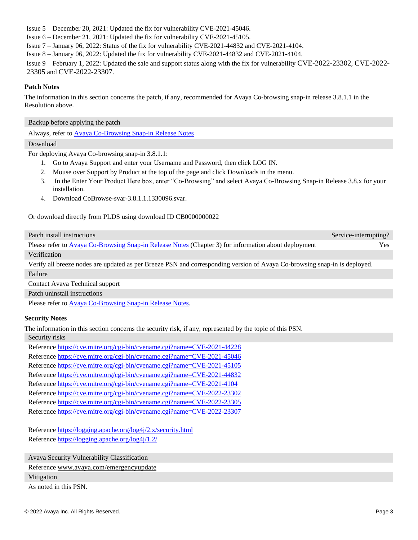Issue 5 – December 20, 2021: Updated the fix for vulnerability CVE-2021-45046.

Issue 6 – December 21, 2021: Updated the fix for vulnerability CVE-2021-45105.

Issue 7 – January 06, 2022: Status of the fix for vulnerability CVE-2021-44832 and CVE-2021-4104.

Issue 8 – January 06, 2022: Updated the fix for vulnerability CVE-2021-44832 and CVE-2021-4104.

Issue 9 – February 1, 2022: Updated the sale and support status along with the fix for vulnerability [CVE-2022-23302](https://www.cvedetails.com/cve/CVE-2022-23302/), [CVE-2022-](https://www.cvedetails.com/cve/CVE-2022-23305/) [23305](https://www.cvedetails.com/cve/CVE-2022-23305/) and [CVE-2022-23307](https://www.cvedetails.com/cve/CVE-2022-23307/).

# **Patch Notes**

The information in this section concerns the patch, if any, recommended for Avaya Co-browsing snap-in release 3.8.1.1 in the Resolution above.

Backup before applying the patch

Always, refer t[o Avaya Co-Browsing](http://downloads.avaya.com/css/P8/documents/101078829) Snap-in Release Notes

### Download

For deploying Avaya Co-browsing snap-in 3.8.1.1:

- 1. Go to Avaya Support and enter your Username and Password, then click LOG IN.
- 2. Mouse over Support by Product at the top of the page and click Downloads in the menu.
- 3. In the Enter Your Product Here box, enter "Co-Browsing" and select Avaya Co-Browsing Snap-in Release 3.8.x for your installation.
- 4. Download CoBrowse-svar-3.8.1.1.1330096.svar.

### Or download directly from PLDS using download ID CB0000000022

| Patch install instructions                                                                                                | Service-interrupting? |
|---------------------------------------------------------------------------------------------------------------------------|-----------------------|
| Please refer to Avaya Co-Browsing Snap-in Release Notes (Chapter 3) for information about deployment                      | Yes.                  |
| Verification                                                                                                              |                       |
| Verify all breeze nodes are updated as per Breeze PSN and corresponding version of Avaya Co-browsing snap-in is deployed. |                       |

Failure

Contact Avaya Technical support

Patch uninstall instructions

Please refer to [Avaya Co-Browsing](http://downloads.avaya.com/css/P8/documents/101078829) Snap-in Release Notes.

# **Security Notes**

The information in this section concerns the security risk, if any, represented by the topic of this PSN.

Security risks

Reference <https://cve.mitre.org/cgi-bin/cvename.cgi?name=CVE-2021-44228> Reference <https://cve.mitre.org/cgi-bin/cvename.cgi?name=CVE-2021-45046> Reference <https://cve.mitre.org/cgi-bin/cvename.cgi?name=CVE-2021-45105> Reference <https://cve.mitre.org/cgi-bin/cvename.cgi?name=CVE-2021-44832> Reference <https://cve.mitre.org/cgi-bin/cvename.cgi?name=CVE-2021-4104> Reference <https://cve.mitre.org/cgi-bin/cvename.cgi?name=CVE-2022-23302> Reference <https://cve.mitre.org/cgi-bin/cvename.cgi?name=CVE-2022-23305> Reference <https://cve.mitre.org/cgi-bin/cvename.cgi?name=CVE-2022-23307>

Reference<https://logging.apache.org/log4j/2.x/security.html> Reference<https://logging.apache.org/log4j/1.2/>

Avaya Security Vulnerability Classification

Reference [www.avaya.com/emergencyupdate](http://www.avaya.com/emergencyupdate)

### Mitigation

As noted in this PSN.